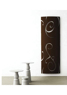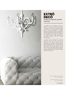

# EXTRÓ DECÓ **design meneghello paolelli associati**

Un radiatore che da elemento di arredo si trasforma in una vera e propria opera d'arte. È la storia di Extró Decó, il prezioso sistema riscaldante nato da un'evoluzione del modello Extró. A farla da protagonista è il disegno damascato riproposto in chiave contemporanea che veste l'ampia superficie del termoarredo. Un decoro raffinato che si inserisce con eleganza nei contesti abitativi di oggi, realizzato con una tecnica innovativa che dà un effetto tridimensionale.<br>
~~~~~~~~~~

 $\sim$ 

A radiator that has evolved from furnishing element to work of art. This is the story of Extró Decó, the precious heating element developed from the Extró model. The damask pattern reinterpreted with a contemporary flair that extends over its entire surface is its key feature. With its highly refined design, obtained with an innovative technique that produces a three-dimensional effect, it provides an elegant addition to today's home.

> *Finitura fotografata in questa pagine: Marron d'Inde SW208F.*

*Finish photographed on these pages: Marron d'Inde SW208F.*

RIDEA 2015 103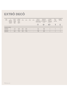# EXTRÓ DECÓ

| hxb<br>$\text{(cm)}$ | $\mathbf n$<br>numero<br>elementi/<br>elements<br>number | peso a<br>vuoto/<br>weight<br>empty<br>(kg) | volume<br>d'acqua/<br>water<br>volume<br>(dm <sup>3</sup> ) | a<br>$\text{(cm)}$ | $\mathbf c$<br>$\text{(cm)}$ | d<br>$\text{(cm)}$       | e<br>$\text{(cm)}$       | Os resa<br>termica/<br>thermal yield<br>$\Box t$ 50 $\degree$ C (watt) | O potenza<br>elettrica/<br>electrical power<br>(watt) | versione<br>$mista***/$<br>combined<br>version*** | fissa/<br>not<br>opening | apribile/<br>opening |
|----------------------|----------------------------------------------------------|---------------------------------------------|-------------------------------------------------------------|--------------------|------------------------------|--------------------------|--------------------------|------------------------------------------------------------------------|-------------------------------------------------------|---------------------------------------------------|--------------------------|----------------------|
|                      |                                                          |                                             |                                                             |                    |                              |                          |                          |                                                                        | $\bullet$                                             | 40                                                |                          |                      |
| verticale/vertical   |                                                          |                                             |                                                             |                    |                              |                          |                          |                                                                        |                                                       |                                                   |                          |                      |
| 120,0x50,0           |                                                          | 17,0                                        | 0,68                                                        | 33,0               | 54,0                         | $\overline{\phantom{a}}$ | $\overline{\phantom{a}}$ | 515                                                                    | 500                                                   | $\bullet$                                         | $\bullet$                | $\bullet$            |
| 150,0x50,0           |                                                          | 21,0                                        | 0,85                                                        | 33,0               | 84,0                         | $\overline{\phantom{a}}$ | $\overline{\phantom{a}}$ | 652                                                                    | 600                                                   | $\bullet$                                         | $\bullet$                | $\bullet$            |
| 180,0x50,0           |                                                          | 26,0                                        | 1,02                                                        | 33,0               | 114.0                        | $\overline{\phantom{a}}$ | $\overline{\phantom{a}}$ | 798                                                                    | 800                                                   | $\bullet$                                         | $\bullet$                | $\bullet$            |